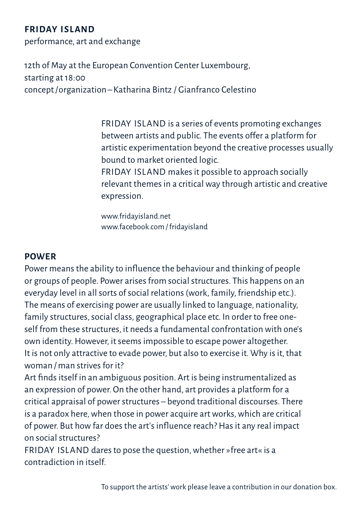# **Friday Island**

performance, art and exchange

12th of May at the European Convention Center Luxembourg, starting at 18:00 concept/organization–Katharina Bintz / Gianfranco Celestino

> FRIDAY ISLAND is a series of events promoting exchanges between artists and public. The events offer a platform for artistic experimentation beyond the creative processes usually bound to market oriented logic.

FRIDAY ISLAND makes it possible to approach socially relevant themes in a critical way through artistic and creative expression.

www.fridayisland.net www.facebook.com/fridayisland

## **POWER**

Power means the ability to influence the behaviour and thinking of people or groups of people. Power arises from social structures. This happens on an everyday level in all sorts of social relations (work, family, friendship etc.). The means of exercising power are usually linked to language, nationality, family structures, social class, geographical place etc. In order to free oneself from these structures, it needs a fundamental confrontation with one's own identity. However, it seems impossible to escape power altogether. It is not only attractive to evade power, but also to exercise it. Why is it, that woman /man strives for it?

Art finds itself in an ambiguous position. Art is being instrumentalized as an expression of power. On the other hand, art provides a platform for a critical appraisal of power structures – beyond traditional discourses. There is a paradox here, when those in power acquire art works, which are critical of power. But how far does the art's influence reach? Has it any real impact on social structures?

FRIDAY ISLAND dares to pose the question, whether »free art« is a contradiction in itself.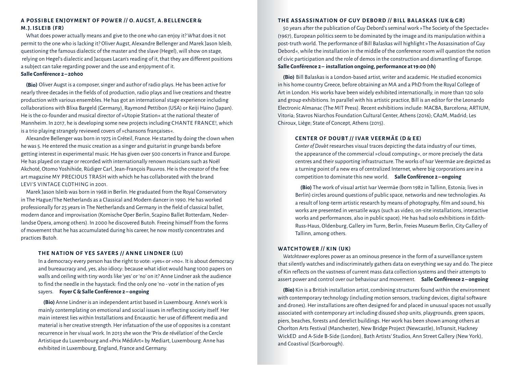#### **A Possible Enjoy ment of Power / / O. Au g s t, A. Bel len ger & M.J. Is leib (FR)**

What does power actually means and give to the one who can enjoy it? What does it not permit to the one who is lacking it? Oliver Augst, Alexandre Bellenger and Marek Jason Isleib, questioning the famous dialectic of the master and the slave (Hegel), will show on stage, relying on Hegel's dialectic and Jacques Lacan's reading of it, that they are different positions a subject can take regarding power and the use and enjoyment of it.

### **Salle Conférence 2 –20h00**

**(Bio)** Oliver Augst is a composer, singer and author of radio plays. He has been active for nearly three decades in the fields of cd production, radio plays and live creations and theatre production with various ensembles. He has got an international stage experience including collaborations with Blixa Bargeld (Germany), Raymond Pettibon (USA) or Keiji Haino (Japan). He is the co-founder and musical director of »Utopie Station« at the national theater of Mannheim. In 2017, he is developing some new projects including CHANTE FRANCE!, which is a trio playing strangely reviewed covers of »chansons françaises«.

Alexandre Bellenger was born in 1975 in Créteil, France. He started by doing the clown when he was 5. He entered the music creation as a singer and guitarist in grunge bands before getting interest in experimental music. He has given over 500 concerts in France and Europe. He has played on stage or recorded with internationally renown musicians such as Noël Akchoté, Otomo Yoshihide, Rüdiger Carl, Jean-François Pauvros. He is the creator of the free art magazine MY PRECIOUS TRASH with which he has collaborated with the brand LEVI'S VINTAGE CLOTHING in 2001.

Marek Jason Isleib was born in 1968 in Berlin. He graduated from the Royal Conservatory in The Hague/The Netherlands as a Classical and Modern dancer in 1990. He has worked professionally for 25 years in The Netherlands and Germany in the field of classical ballet, modern dance and improvisation (Komische Oper Berlin, Scapino Ballet Rotterdam, Nederlandse Opera, among others). In 2000 he discovered Butoh. Freeing himself from the forms of movement that he has accumulated during his career, he now mostly concentrates and practices Butoh.

#### **The Nation of YES Sayer s / / An ne Lindner (LU)**

In a democracy every person has the right to vote: »yes« or »no«. It is about democracy and bureaucracy and, yes, also idiocy: because what idiot would hang 1000 papers on walls and ceiling with tiny words like 'yes' or 'no' on it? Anne Lindner ask the audience to find the needle in the haystack: find the only one 'no - vote' in the nation of yes sayers. **Foyer C & Salle Conférence 2 – ongoing**

**(Bio)** Anne Lindner is an independent artist based in Luxembourg. Anne's work is mainly contemplating on emotional and social issues in reflecting society itself. Her main interest lies within Installations and Encaustic: her use of different media and material is her creative strength. Her infatuation of the use of opposites is a constant recurrence in her visual work. In 2013 she won the 'Prix de révélation' of the Cercle Artistique du Luxembourg and »Prix MédiArt« by Mediart, Luxembourg. Anne has exhibited in Luxembourg, England, France and Germany.

#### **The Assassination of Guy Debor d / / Bill Balaskas (UK & GR)**

50 years after the publication of Guy Debord's seminal work »The Society of the Spectacle« (1967), European politics seem to be dominated by the image and its manipulation within a post-truth world. The performance of Bill Balaskas will highlight »The Assassination of Guy Debord«, while the installation in the middle of the conference room will question the notion of civic participation and the role of demos in the construction and dismantling of Europe. **Salle Conférence 2 – installation ongoing, performance at 19:00 (1h)**

**(Bio)** Bill Balaskas is a London-based artist, writer and academic. He studied economics in his home country Greece, before obtaining an MA and a PhD from the Royal College of Art in London. His works have been widely exhibited internationally, in more than 120 solo and group exhibitions. In parallel with his artistic practice, Bill is an editor for the Leonardo Electronic Almanac (The MIT Press). Recent exhibitions include: MACBA, Barcelona; ARTIUM, Vitoria; Stavros Niarchos Foundation Cultural Center, Athens (2016); CA2M, Madrid; Les Chiroux, Liège; State of Concept, Athens (2015).

## **Cen ter of Doubt / / Ivar Veermäe (D & E E)**

*Center of Doubt* researches visual traces depicting the data industry of our times, the appearance of the commercial »cloud computing«, or more precisely the data centres and their supporting infrastructure. The works of Ivar Veermäe are depicted as a turning point of a new era of centralized Internet, where big corporations are in a competition to dominate this new world. **Salle Conférence 2 – ongoing**

**(Bio)** The work of visual artist Ivar Veermäe (born 1982 in Tallinn, Estonia; lives in Berlin) circles around questions of public space, networks and new technologies. As a result of long-term artistic research by means of photography, film and sound, his works are presented in versatile ways (such as video, on-site installations, interactive works and performances, also in public space). He has had solo exhibitions in Edith-Russ-Haus, Oldenburg, Gallery im Turm, Berlin, Freies Museum Berlin, City Gallery of Tallinn, among others.

### **WATCHTOWER** // KIN (UK)

*Watchtower* explores power as an ominous presence in the form of a surveillance system that silently watches and indiscriminately gathers data on everything we say and do. The piece of Kin reflects on the vastness of current mass data collection systems and their attempts to assert power and control over our behaviour and movement. **Salle Conférence 2 – ongoing**

**(Bio)** Kin is a British installation artist, combining structures found within the environment with contemporary technology (including motion sensors, tracking devices, digital software and drones). Her installations are often designed for and placed in unusual spaces not usually associated with contemporary art including disused shop units, playgrounds, green spaces, piers, beaches, forests and derelict buildings. Her work has been shown among others at Chorlton Arts Festival (Manchester), New Bridge Project (Newcastle), InTransit, Hackney WickED and A-Side B-Side (London), Bath Artists' Studios, Ann Street Gallery (New York), and Coastival (Scarborough).